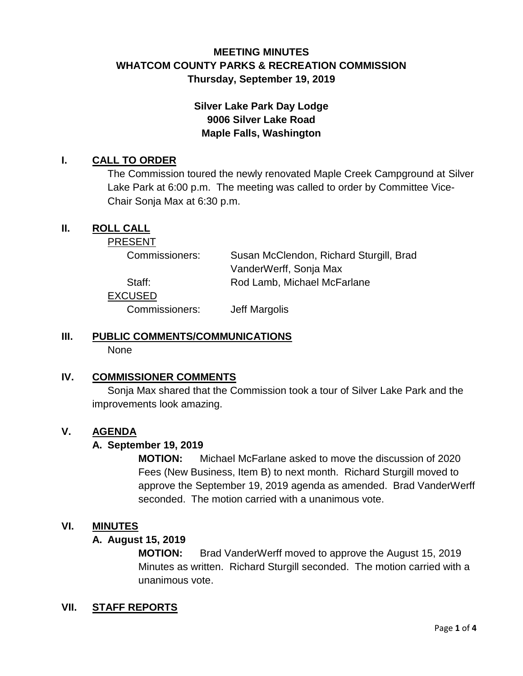# **MEETING MINUTES WHATCOM COUNTY PARKS & RECREATION COMMISSION Thursday, September 19, 2019**

# **Silver Lake Park Day Lodge 9006 Silver Lake Road Maple Falls, Washington**

### **I. CALL TO ORDER**

The Commission toured the newly renovated Maple Creek Campground at Silver Lake Park at 6:00 p.m. The meeting was called to order by Committee Vice-Chair Sonja Max at 6:30 p.m.

### **II. ROLL CALL**

PRESENT

Commissioners: Susan McClendon, Richard Sturgill, Brad VanderWerff, Sonja Max Staff: Rod Lamb, Michael McFarlane

EXCUSED

Commissioners: Jeff Margolis

# **III. PUBLIC COMMENTS/COMMUNICATIONS**

None

## **IV. COMMISSIONER COMMENTS**

Sonja Max shared that the Commission took a tour of Silver Lake Park and the improvements look amazing.

### **V. AGENDA**

### **A. September 19, 2019**

**MOTION:** Michael McFarlane asked to move the discussion of 2020 Fees (New Business, Item B) to next month. Richard Sturgill moved to approve the September 19, 2019 agenda as amended. Brad VanderWerff seconded. The motion carried with a unanimous vote.

### **VI. MINUTES**

#### **A. August 15, 2019**

**MOTION:** Brad VanderWerff moved to approve the August 15, 2019 Minutes as written. Richard Sturgill seconded. The motion carried with a unanimous vote.

### **VII. STAFF REPORTS**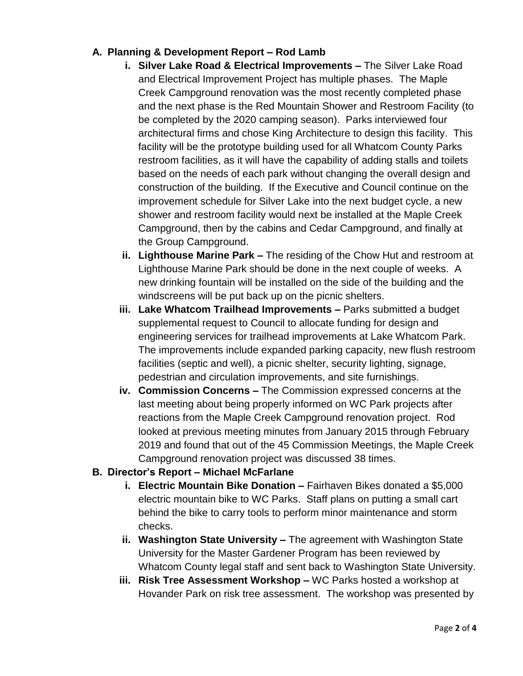# **A. Planning & Development Report – Rod Lamb**

- **i. Silver Lake Road & Electrical Improvements –** The Silver Lake Road and Electrical Improvement Project has multiple phases. The Maple Creek Campground renovation was the most recently completed phase and the next phase is the Red Mountain Shower and Restroom Facility (to be completed by the 2020 camping season). Parks interviewed four architectural firms and chose King Architecture to design this facility. This facility will be the prototype building used for all Whatcom County Parks restroom facilities, as it will have the capability of adding stalls and toilets based on the needs of each park without changing the overall design and construction of the building. If the Executive and Council continue on the improvement schedule for Silver Lake into the next budget cycle, a new shower and restroom facility would next be installed at the Maple Creek Campground, then by the cabins and Cedar Campground, and finally at the Group Campground.
- **ii. Lighthouse Marine Park –** The residing of the Chow Hut and restroom at Lighthouse Marine Park should be done in the next couple of weeks. A new drinking fountain will be installed on the side of the building and the windscreens will be put back up on the picnic shelters.
- **iii. Lake Whatcom Trailhead Improvements –** Parks submitted a budget supplemental request to Council to allocate funding for design and engineering services for trailhead improvements at Lake Whatcom Park. The improvements include expanded parking capacity, new flush restroom facilities (septic and well), a picnic shelter, security lighting, signage, pedestrian and circulation improvements, and site furnishings.
- **iv. Commission Concerns –** The Commission expressed concerns at the last meeting about being properly informed on WC Park projects after reactions from the Maple Creek Campground renovation project. Rod looked at previous meeting minutes from January 2015 through February 2019 and found that out of the 45 Commission Meetings, the Maple Creek Campground renovation project was discussed 38 times.

## **B. Director's Report – Michael McFarlane**

- **i. Electric Mountain Bike Donation –** Fairhaven Bikes donated a \$5,000 electric mountain bike to WC Parks. Staff plans on putting a small cart behind the bike to carry tools to perform minor maintenance and storm checks.
- **ii. Washington State University –** The agreement with Washington State University for the Master Gardener Program has been reviewed by Whatcom County legal staff and sent back to Washington State University.
- **iii. Risk Tree Assessment Workshop –** WC Parks hosted a workshop at Hovander Park on risk tree assessment. The workshop was presented by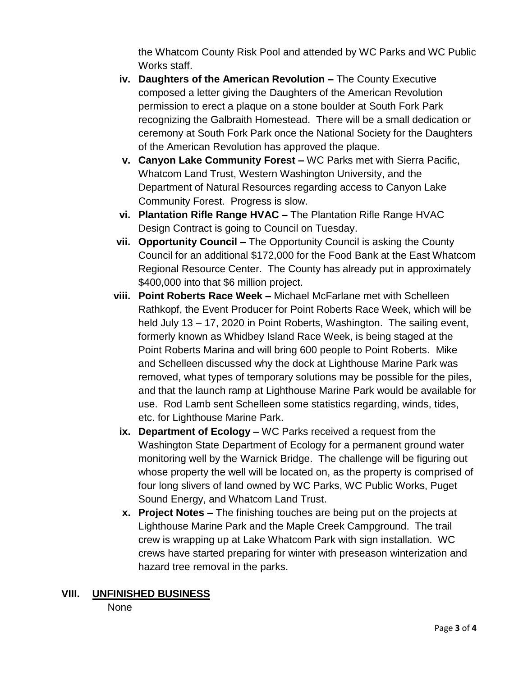the Whatcom County Risk Pool and attended by WC Parks and WC Public Works staff.

- **iv. Daughters of the American Revolution –** The County Executive composed a letter giving the Daughters of the American Revolution permission to erect a plaque on a stone boulder at South Fork Park recognizing the Galbraith Homestead. There will be a small dedication or ceremony at South Fork Park once the National Society for the Daughters of the American Revolution has approved the plaque.
- **v. Canyon Lake Community Forest –** WC Parks met with Sierra Pacific, Whatcom Land Trust, Western Washington University, and the Department of Natural Resources regarding access to Canyon Lake Community Forest. Progress is slow.
- **vi. Plantation Rifle Range HVAC –** The Plantation Rifle Range HVAC Design Contract is going to Council on Tuesday.
- **vii. Opportunity Council –** The Opportunity Council is asking the County Council for an additional \$172,000 for the Food Bank at the East Whatcom Regional Resource Center. The County has already put in approximately \$400,000 into that \$6 million project.
- **viii. Point Roberts Race Week –** Michael McFarlane met with Schelleen Rathkopf, the Event Producer for Point Roberts Race Week, which will be held July 13 – 17, 2020 in Point Roberts, Washington. The sailing event, formerly known as Whidbey Island Race Week, is being staged at the Point Roberts Marina and will bring 600 people to Point Roberts. Mike and Schelleen discussed why the dock at Lighthouse Marine Park was removed, what types of temporary solutions may be possible for the piles, and that the launch ramp at Lighthouse Marine Park would be available for use. Rod Lamb sent Schelleen some statistics regarding, winds, tides, etc. for Lighthouse Marine Park.
- **ix. Department of Ecology –** WC Parks received a request from the Washington State Department of Ecology for a permanent ground water monitoring well by the Warnick Bridge. The challenge will be figuring out whose property the well will be located on, as the property is comprised of four long slivers of land owned by WC Parks, WC Public Works, Puget Sound Energy, and Whatcom Land Trust.
- **x. Project Notes –** The finishing touches are being put on the projects at Lighthouse Marine Park and the Maple Creek Campground. The trail crew is wrapping up at Lake Whatcom Park with sign installation. WC crews have started preparing for winter with preseason winterization and hazard tree removal in the parks.

## **VIII. UNFINISHED BUSINESS**

None